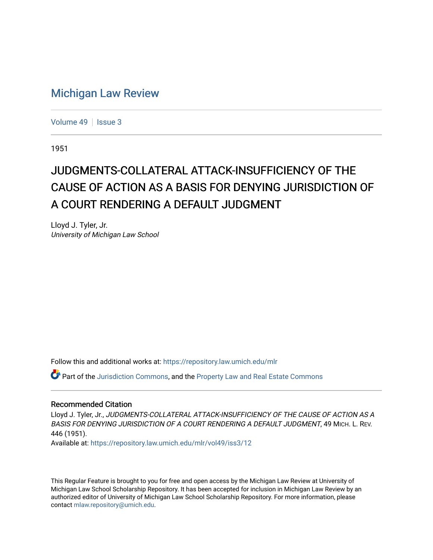## [Michigan Law Review](https://repository.law.umich.edu/mlr)

[Volume 49](https://repository.law.umich.edu/mlr/vol49) | [Issue 3](https://repository.law.umich.edu/mlr/vol49/iss3)

1951

## JUDGMENTS-COLLATERAL ATTACK-INSUFFICIENCY OF THE CAUSE OF ACTION AS A BASIS FOR DENYING JURISDICTION OF A COURT RENDERING A DEFAULT JUDGMENT

Lloyd J. Tyler, Jr. University of Michigan Law School

Follow this and additional works at: [https://repository.law.umich.edu/mlr](https://repository.law.umich.edu/mlr?utm_source=repository.law.umich.edu%2Fmlr%2Fvol49%2Fiss3%2F12&utm_medium=PDF&utm_campaign=PDFCoverPages) 

Part of the [Jurisdiction Commons](http://network.bepress.com/hgg/discipline/850?utm_source=repository.law.umich.edu%2Fmlr%2Fvol49%2Fiss3%2F12&utm_medium=PDF&utm_campaign=PDFCoverPages), and the [Property Law and Real Estate Commons](http://network.bepress.com/hgg/discipline/897?utm_source=repository.law.umich.edu%2Fmlr%2Fvol49%2Fiss3%2F12&utm_medium=PDF&utm_campaign=PDFCoverPages) 

## Recommended Citation

Lloyd J. Tyler, Jr., JUDGMENTS-COLLATERAL ATTACK-INSUFFICIENCY OF THE CAUSE OF ACTION AS A BASIS FOR DENYING JURISDICTION OF A COURT RENDERING A DEFAULT JUDGMENT, 49 MICH. L. REV. 446 (1951).

Available at: [https://repository.law.umich.edu/mlr/vol49/iss3/12](https://repository.law.umich.edu/mlr/vol49/iss3/12?utm_source=repository.law.umich.edu%2Fmlr%2Fvol49%2Fiss3%2F12&utm_medium=PDF&utm_campaign=PDFCoverPages) 

This Regular Feature is brought to you for free and open access by the Michigan Law Review at University of Michigan Law School Scholarship Repository. It has been accepted for inclusion in Michigan Law Review by an authorized editor of University of Michigan Law School Scholarship Repository. For more information, please contact [mlaw.repository@umich.edu](mailto:mlaw.repository@umich.edu).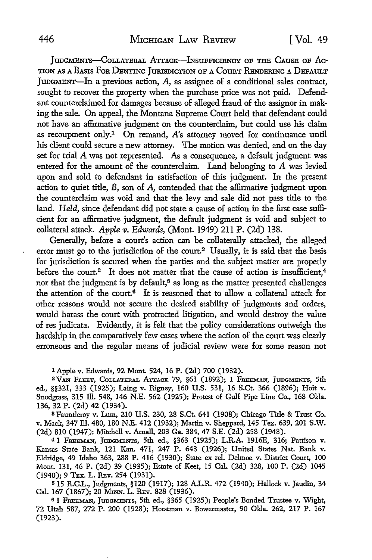IUDGMENTS-COLLATERAL ATTACK-INSUFFICIENCY OF THE CAUSE OF AC-TION AS A BASIS FOR DENYING JURISDICTION OF A COURT RENDERING A DEFAULT JUDGMENT-In a previous action, A, as assignee of a conditional sales contract, sought to recover the property when the purchase price was not paid. Defendant counterclaimed for damages because of alleged fraud of the assignor in making the sale. On appeal, the Montana Supreme Court held that defendant could not have an affirmative judgment on the counterclaim, but could use his claim as recoupment only.1 On remand, *A's* attorney moved for continuance until his client could secure a new attorney. The motion was denied, and on the day set for trial A was not represented. As a consequence, a default judgment was entered for the amount of the counterclaim. Land belonging to A was levied upon and sold to defendant in satisfaction of this judgment. In the present action to quiet title, B, son of A, contended that the affirmative judgment upon the counterclaim was void and that the levy and sale did not pass title to the land. *Held,* since defendant did not state a cause of action in the fust case sufficient for an affirmative judgment, the default judgment is void and subject to collateral attack. *Apple v. Edwards*, (Mont. 1949) 211 P. (2d) 138.

Generally, before a court's action can be collaterally attacked, the alleged error must go to the jurisdiction of the court.<sup>2</sup> Usually, it is said that the basis for jurisdiction is secured when the parties and the subject matter are properly before the court.<sup>3</sup> It does not matter that the cause of action is insufficient.<sup>4</sup> nor that the judgment is by default,<sup>5</sup> as long as the matter presented challenges the attention of the court.<sup>6</sup> It is reasoned that to allow a collateral attack for other reasons would not secure the desired stability of judgments and orders, would harass the court with protracted litigation, and would destroy the value of res judicata. Evidently, it is felt that the policy considerations outweigh the hardship in the comparatively few cases where the action of the court was clearly erroneous and the regular means of judicial review were for some reason not

1 Apple v. Edwards, 92 Mont. 524, 16 P. (2d) 700 (1932).

<sup>2</sup> VAN FLEET, COLLATERAL ATTACK 79, §61 (1892); 1 FREEMAN, JUDGMENTS, 5th ed., §§321, 333 (1925); Laing v. Rigney, 160 U.S. 531, 16 S.Ct. 366 (1896); Hoit v. Snodgrass, 315 Ill. 548, 146 N.E. 562 (1925); Protest of Gulf Pipe Line Co., 168 Okla. 136, 32 P. (2d) 42 (1934).

<sup>3</sup>Fauntleroy v. Lum, 210 U.S. 230, 28 S.Ct. 641 (1908); Chicago Title & Trust Co. v. Mack, 347 Ill. 480, 180 N.E. 412 (1932); Martin v. Sheppard, 145 Tex. 639, 201 S.W. (2d) 810 (1947); Mitchell v. Arnall, 203 Ga. 384, 47 S.E. (2d) 258 (1948).

<sup>4</sup>1 FREEMAN, JUDGMENTS, 5th ed., §363 (1925); L.R.A. 1916E, 316; Pattison v. Kansas State Bank, 121 Kan. 471, 247 P. 643 (1926); United States Nat. Bank v. Eldridge, 49 Idaho 363, 288 P. 416 (1930); State ex rel. Delmoe v. District Court, 100 Mont. 131, 46 P. (2d) 39 (1935); Estate of Keet, 15 Cal. (2d) 328, 100 P. (2d) 1045 (1940); 9 TEX. L. REv. 254 (1931).

<sup>5</sup>15 R.C.L., Judgments, §120 (1917); 128 A.L.R. 472 (1940); Hallock v. Jaudin, 34 Cal. 167 (1867); 20 MINN. L. REv. 828 (1936).

61 FREEMAN, JUDGMENTS, 5th ed., §365 (1925); People's Bonded Trustee v. Wight, 72 Utah 587, 272 P. 200 (1928); Horstman v. Bowennaster, 90 Okla. 262, 217 P. 167 (1923).